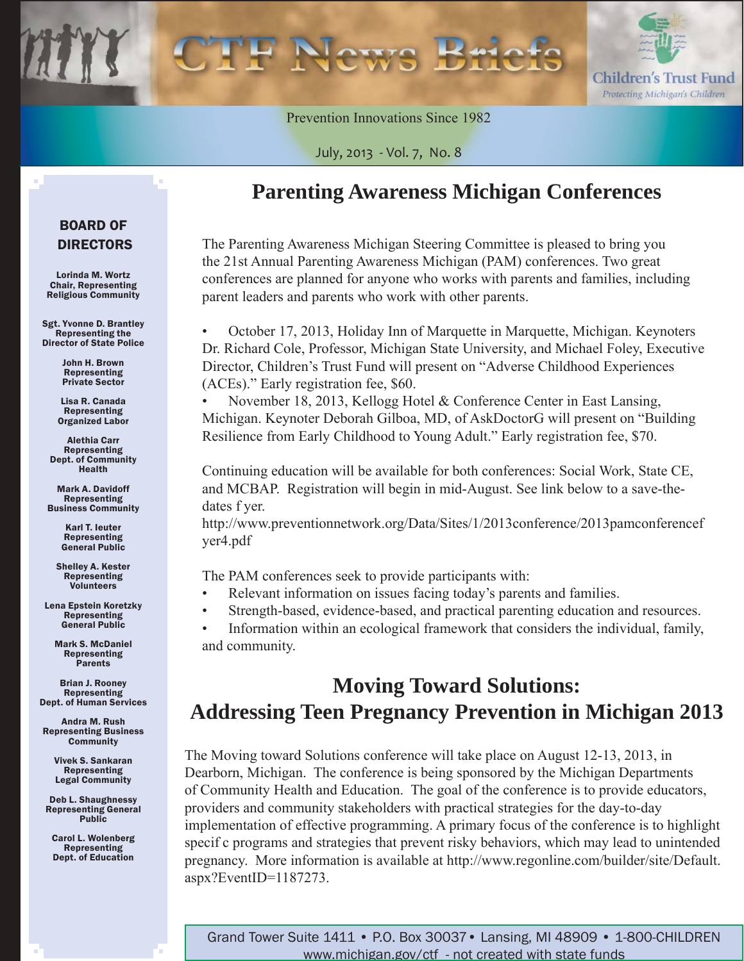

Prevention Innovations Since 1982

July, 2013 - Vol. 7, No. 8

### **Parenting Awareness Michigan Conferences**

The Parenting Awareness Michigan Steering Committee is pleased to bring you the 21st Annual Parenting Awareness Michigan (PAM) conferences. Two great conferences are planned for anyone who works with parents and families, including parent leaders and parents who work with other parents.

• October 17, 2013, Holiday Inn of Marquette in Marquette, Michigan. Keynoters Dr. Richard Cole, Professor, Michigan State University, and Michael Foley, Executive Director, Children's Trust Fund will present on "Adverse Childhood Experiences (ACEs)." Early registration fee, \$60.

• November 18, 2013, Kellogg Hotel & Conference Center in East Lansing, Michigan. Keynoter Deborah Gilboa, MD, of AskDoctorG will present on "Building Resilience from Early Childhood to Young Adult." Early registration fee, \$70.

Continuing education will be available for both conferences: Social Work, State CE, and MCBAP. Registration will begin in mid-August. See link below to a save-thedates f yer.

[http://www.preventionnetwork.org/Data/Sites/1/2013conference/2013pamconferencef](http://www.preventionnetwork.org/Data/Sites/1/2013conference/2013pamconferenceflyer4.pdf)  yer4.pdf

The PAM conferences seek to provide participants with:

- Relevant information on issues facing today's parents and families.
- Strength-based, evidence-based, and practical parenting education and resources.
- Information within an ecological framework that considers the individual, family, and community.

# **Moving Toward Solutions: Addressing Teen Pregnancy Prevention in Michigan 2013**

The Moving toward Solutions conference will take place on August 12-13, 2013, in Dearborn, Michigan. The conference is being sponsored by the Michigan Departments of Community Health and Education. The goal of the conference is to provide educators, providers and community stakeholders with practical strategies for the day-to-day implementation of effective programming. A primary focus of the conference is to highlight specif c programs and strategies that prevent risky behaviors, which may lead to unintended [pregnancy. More information is available at http://www.regonline.com/builder/site/Default.](http://www.regonline.com/builder/site/Default.aspx?EventID=1187273) aspx?EventID=1187273.

### BOARD OF DIRECTORS

Lorinda M. Wortz Chair, Representing Religious Community

Sgt. Yvonne D. Brantley Representing the Director of State Police

> John H. Brown Representing Private Sector

Lisa R. Canada Representing Organized Labor

Alethia Carr Representing Dept. of Community Health

Mark A. Davidoff Representing Business Community

> Karl T. Ieuter Representing General Public

Shelley A. Kester Representing Volunteers

Lena Epstein Koretzky Representing General Public

Mark S. McDaniel Representing Parents

Brian J. Rooney Representing Dept. of Human Services

Andra M. Rush Representing Business **Community** 

> Vivek S. Sankaran Representing Legal Community

Deb L. Shaughnessy Representing General **Public** 

Carol L. Wolenberg Representing Dept. of Education